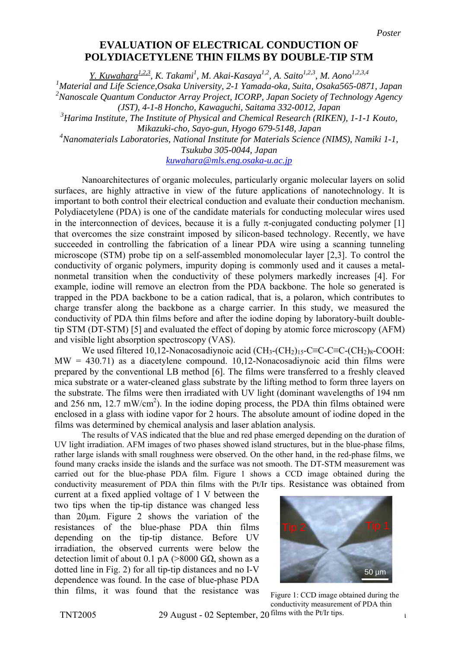## **EVALUATION OF ELECTRICAL CONDUCTION OF POLYDIACETYLENE THIN FILMS BY DOUBLE-TIP STM**

*Y. Kuwahara1,2,3 , K. Takami<sup>1</sup> , M. Akai-Kasaya1,2 , A. Saito1,2,3 , M. Aono1,2,3,4*

*1 Material and Life Science,Osaka University, 2-1 Yamada-oka, Suita, Osaka565-0871, Japan 2 Nanoscale Quantum Conductor Array Project, ICORP, Japan Society of Technology Agency (JST), 4-1-8 Honcho, Kawaguchi, Saitama 332-0012, Japan* 

*3 Harima Institute, The Institute of Physical and Chemical Research (RIKEN), 1-1-1 Kouto, Mikazuki-cho, Sayo-gun, Hyogo 679-5148, Japan* 

*4 Nanomaterials Laboratories, National Institute for Materials Science (NIMS), Namiki 1-1, Tsukuba 305-0044, Japan* 

*[kuwahara@mls.eng.osaka-u.ac.jp](mailto:kuwahara@mls.eng.osaka-u.ac.jp)*

Nanoarchitectures of organic molecules, particularly organic molecular layers on solid surfaces, are highly attractive in view of the future applications of nanotechnology. It is important to both control their electrical conduction and evaluate their conduction mechanism. Polydiacetylene (PDA) is one of the candidate materials for conducting molecular wires used in the interconnection of devices, because it is a fully  $\pi$ -conjugated conducting polymer [1] that overcomes the size constraint imposed by silicon-based technology. Recently, we have succeeded in controlling the fabrication of a linear PDA wire using a scanning tunneling microscope (STM) probe tip on a self-assembled monomolecular layer [2,3]. To control the conductivity of organic polymers, impurity doping is commonly used and it causes a metalnonmetal transition when the conductivity of these polymers markedly increases [4]. For example, iodine will remove an electron from the PDA backbone. The hole so generated is trapped in the PDA backbone to be a cation radical, that is, a polaron, which contributes to charge transfer along the backbone as a charge carrier. In this study, we measured the conductivity of PDA thin films before and after the iodine doping by laboratory-built doubletip STM (DT-STM) [5] and evaluated the effect of doping by atomic force microscopy (AFM) and visible light absorption spectroscopy (VAS).

We used filtered 10,12-Nonacosadiynoic acid  $(CH_3$ - $(CH_2)$ <sub>15</sub>-C≡C-C≡C-(CH<sub>2</sub>)<sub>8</sub>-COOH:  $MW = 430.71$ ) as a diacetylene compound. 10,12-Nonacosadiynoic acid thin films were prepared by the conventional LB method [6]. The films were transferred to a freshly cleaved mica substrate or a water-cleaned glass substrate by the lifting method to form three layers on the substrate. The films were then irradiated with UV light (dominant wavelengths of 194 nm and 256 nm, 12.7 mW/cm<sup>2</sup>). In the iodine doping process, the PDA thin films obtained were enclosed in a glass with iodine vapor for 2 hours. The absolute amount of iodine doped in the films was determined by chemical analysis and laser ablation analysis.

The results of VAS indicated that the blue and red phase emerged depending on the duration of UV light irradiation. AFM images of two phases showed island structures, but in the blue-phase films, rather large islands with small roughness were observed. On the other hand, in the red-phase films, we found many cracks inside the islands and the surface was not smooth. The DT-STM measurement was carried out for the blue-phase PDA film. Figure 1 shows a CCD image obtained during the conductivity measurement of PDA thin films with the Pt/Ir tips. Resistance was obtained from

current at a fixed applied voltage of 1 V between the two tips when the tip-tip distance was changed less than 20µm. Figure 2 shows the variation of the resistances of the blue-phase PDA thin films depending on the tip-tip distance. Before UV irradiation, the observed currents were below the detection limit of about 0.1 pA (>8000 GΩ, shown as a dotted line in Fig. 2) for all tip-tip distances and no I-V dependence was found. In the case of blue-phase PDA thin films, it was found that the resistance was



Figure 1: CCD image obtained during t he conductivity measurement of PDA thin